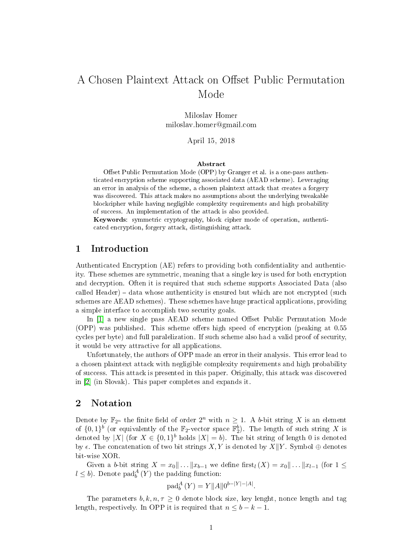# A Chosen Plaintext Attack on Offset Public Permutation Mode

Miloslav Homer miloslav.homer@gmail.com

April 15, 2018

#### Abstract

Offset Public Permutation Mode (OPP) by Granger et al. is a one-pass authenticated encryption scheme supporting associated data (AEAD scheme). Leveraging an error in analysis of the scheme, a chosen plaintext attack that creates a forgery was discovered. This attack makes no assumptions about the underlying tweakable blockcipher while having negligible complexity requirements and high probability of success. An implementation of the attack is also provided.

Keywords: symmetric cryptography, block cipher mode of operation, authenticated encryption, forgery attack, distinguishing attack.

### 1 Introduction

Authenticated Encryption (AE) refers to providing both condentiality and authenticity. These schemes are symmetric, meaning that a single key is used for both encryption and decryption. Often it is required that such scheme supports Associated Data (also called Header)  $-$  data whose authenticity is ensured but which are not encrypted (such schemes are AEAD schemes). These schemes have huge practical applications, providing a simple interface to accomplish two security goals.

In [\[1\]](#page-6-0) a new single pass AEAD scheme named Offset Public Permutation Mode  $(OPP)$  was published. This scheme offers high speed of encryption (peaking at  $0.55$ cycles per byte) and full paralelization. If such scheme also had a valid proof of security, it would be very attractive for all applications.

Unfortunately, the authors of OPP made an error in their analysis. This error lead to a chosen plaintext attack with negligible complexity requirements and high probability of success. This attack is presented in this paper. Originally, this attack was discovered in [\[2\]](#page-7-0) (in Slovak). This paper completes and expands it.

# 2 Notation

Denote by  $\mathbb{F}_{2^n}$  the finite field of order  $2^n$  with  $n \geq 1$ . A b-bit string X is an element of  $\{0,1\}^b$  (or equivalently of the  $\mathbb{F}_2$ -vector space  $\mathbb{F}_2^b$ ). The length of such string X is denoted by |X| (for  $X \in \{0,1\}^b$  holds  $|X| = b$ ). The bit string of length 0 is denoted by  $\epsilon$ . The concatenation of two bit strings X, Y is denoted by X $\parallel$ Y. Symbol  $\oplus$  denotes bit-wise XOR.

Given a b-bit string  $X = x_0 || \dots || x_{b-1}$  we define first $\iota(X) = x_0 || \dots || x_{l-1}$  (for  $1 \leq$  $l \leq b$ ). Denote pad $_A^A(Y)$  the padding function:

$$
\text{pad}_{b}^{A}(Y) = Y||A||0^{b-|Y|-|A|}.
$$

The parameters  $b, k, n, \tau \geq 0$  denote block size, key lenght, nonce length and tag length, respectively. In OPP it is required that  $n \leq b - k - 1$ .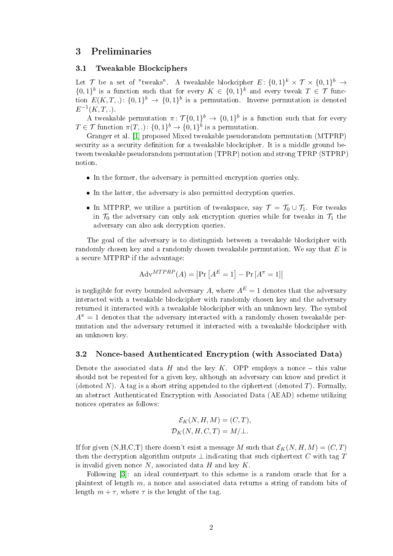# 3 Preliminaries

#### <span id="page-1-0"></span>3.1 Tweakable Blockciphers

Let  $\mathcal T$  be a set of "tweaks". A tweakable blockcipher  $E: \{0,1\}^k \times \mathcal T \times \{0,1\}^b \to$  $\{0,1\}^b$  is a function such that for every  $K \in \{0,1\}^k$  and every tweak  $T \in \mathcal{T}$  function  $E(K,T,.)\colon \{0,1\}^b \to \{0,1\}^b$  is a permutation. Inverse permutation is denoted  $E^{-1}(K,T,.)$ .

A tweakable permutation  $\pi \colon \mathcal{T}\{0,1\}^b \to \{0,1\}^b$  is a function such that for every  $T \in \mathcal{T}$  function  $\pi(T,.)\colon \{0,1\}^b \to \{0,1\}^b$  is a permutation.

Granger et al. [\[1\]](#page-6-0) proposed Mixed tweakable pseudorandom permutation (MTPRP) security as a security definition for a tweakable blockcipher. It is a middle ground between tweakable pseudorandom permutation (TPRP) notion and strong TPRP (STPRP) notion.

- In the former, the adversary is permitted encryption queries only.
- In the latter, the adversary is also permitted decryption queries.
- In MTPRP, we utilize a partition of tweakspace, say  $\mathcal{T} = \mathcal{T}_0 \cup \mathcal{T}_1$ . For tweaks in  $\mathcal{T}_0$  the adversary can only ask encryption queries while for tweaks in  $\mathcal{T}_1$  the adversary can also ask decryption queries.

The goal of the adversary is to distinguish between a tweakable blockcipher with randomly chosen key and a randomly chosen tweakable permutation. We say that  $E$  is a secure MTPRP if the advantage:

$$
Adv^{MTPRP}(A) = \left| \Pr \left[ A^E = 1 \right] - \Pr \left[ A^{\pi} = 1 \right] \right|
$$

is negligible for every bounded adversary A, where  $A^E = 1$  denotes that the adversary interacted with a tweakable blockcipher with randomly chosen key and the adversary returned it interacted with a tweakable blockcipher with an unknown key. The symbol  $A^{\pi} = 1$  denotes that the adversary interacted with a randomly chosen tweakable permutation and the adversary returned it interacted with a tweakable blockcipher with an unknown key.

#### <span id="page-1-1"></span>3.2 Nonce-based Authenticated Encryption (with Associated Data)

Denote the associated data H and the key K. OPP employs a nonce  $-$  this value should not be repeated for a given key, although an adversary can know and predict it (denoted N). A tag is a short string appended to the ciphertext (denoted T). Formally, an abstract Authenticated Encryption with Associated Data (AEAD) scheme utilizing nonces operates as follows:

$$
\mathcal{E}_K(N, H, M) = (C, T),
$$
  

$$
\mathcal{D}_K(N, H, C, T) = M/\perp.
$$

If for given  $(N,H,C,T)$  there doesn't exist a message M such that  $\mathcal{E}_K(N,H,M) = (C,T)$ then the decryption algorithm outputs  $\perp$  indicating that such ciphertext C with tag T is invalid given nonce  $N$ , associated data  $H$  and key  $K$ .

Following [\[3\]](#page-7-1): an ideal counterpart to this scheme is a random oracle that for a plaintext of length m, a nonce and associated data returns a string of random bits of length  $m + \tau$ , where  $\tau$  is the lenght of the tag.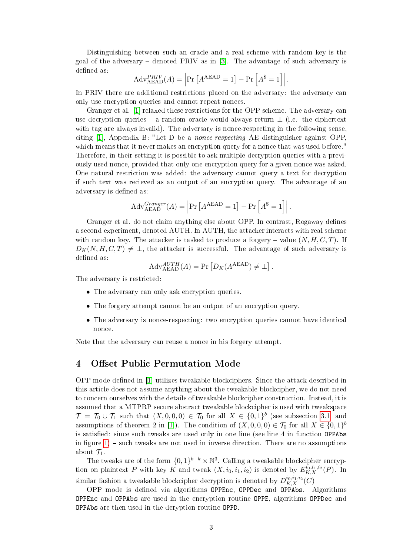Distinguishing between such an oracle and a real scheme with random key is the goal of the adversary  $-$  denoted PRIV as in [\[3\]](#page-7-1). The advantage of such adversary is defined as:

$$
Adv_{A\to A}^{PRIV}(A) = \left| Pr\left[ A^{A\to A} = 1 \right] - Pr\left[ A^* = 1 \right] \right|.
$$

In PRIV there are additional restrictions placed on the adversary: the adversary can only use encryption queries and cannot repeat nonces.

Granger et al. [\[1\]](#page-6-0) relaxed these restrictions for the OPP scheme. The adversary can use decryption queries – a random oracle would always return  $\perp$  (i.e. the ciphertext with tag are always invalid). The adversary is nonce-respecting in the following sense. citing  $[1]$ , Appendix B: "Let D be a *nonce-respecting* AE distinguisher against OPP which means that it never makes an encryption query for a nonce that was used before." Therefore, in their setting it is possible to ask multiple decryption queries with a previously used nonce, provided that only one encryption query for a given nonce was asked. One natural restriction was added: the adversary cannot query a text for decryption if such text was recieved as an output of an encryption query. The advantage of an adversary is defined as:

$$
Adv_{A\to A\to D}^{Granger}(A) = \left| \Pr\left[ A^{A\to A\to D} = 1 \right] - \Pr\left[ A^{\$} = 1 \right] \right|.
$$

Granger et al. do not claim anything else about OPP. In contrast, Rogaway defines a second experiment, denoted AUTH. In AUTH, the attacker interacts with real scheme with random key. The attacker is tasked to produce a forgery – value  $(N, H, C, T)$ . If  $D_K(N, H, C, T) \neq \perp$ , the attacker is successful. The advantage of such adversary is defined as:

$$
Adv_{AEAD}^{AUTH}(A) = Pr \left[ D_K(A^{AEAD}) \neq \bot \right].
$$

The adversary is restricted:

- The adversary can only ask encryption queries.
- The forgery attempt cannot be an output of an encryption query.
- The adversary is nonce-respecting: two encryption queries cannot have identical nonce.

Note that the adversary can reuse a nonce in his forgery attempt.

## 4 Offset Public Permutation Mode

OPP mode dened in [\[1\]](#page-6-0) utilizes tweakable blockciphers. Since the attack described in this article does not assume anything about the tweakable blockcipher, we do not need to concern ourselves with the details of tweakable blockcipher construction. Instead, it is assumed that a MTPRP secure abstract tweakable blockcipher is used with tweakspace  $\mathcal{T} = \mathcal{T}_0 \cup \mathcal{T}_1$  such that  $(X,0,0,0) \in \mathcal{T}_0$  for all  $X \in \{0,1\}^b$  (see subsection [3.1,](#page-1-0) and assumptions of theorem 2 in [\[1\]](#page-6-0)). The condition of  $(X, 0, 0, 0) \in \mathcal{T}_0$  for all  $X \in \{0, 1\}^b$ is satisfied: since such tweaks are used only in one line (see line 4 in function OPPAbs in figure  $1$ ) – such tweaks are not used in inverse direction. There are no assumptions about  $\mathcal{T}_1$ .

The tweaks are of the form  $\{0,1\}^{b-k} \times \mathbb{N}^3$ . Calling a tweakable blockcipher encryption on plaintext P with key K and tweak  $(X, i_0, i_1, i_2)$  is denoted by  $E_{K,X}^{i_0, i_1, i_2}(P)$ . In similar fashion a tweakable blockcipher decryption is denoted by  $D^{i_0,i_1,i_2}_{K,X}(C)$ 

OPP mode is defined via algorithms OPPEnc, OPPDec and OPPAbs. Algorithms OPPEnc and OPPAbs are used in the encryption routine OPPE, algorithms OPPDec and OPPAbs are then used in the deryption routine OPPD.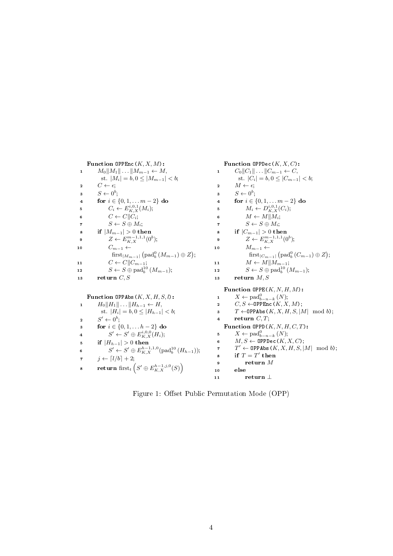<span id="page-3-0"></span>Function  $\text{OPPEnc}(K, X, M)$ : 1  $M_0||M_1|| \dots ||M_{m-1} \leftarrow M$ , st.  $|M_i| = b, 0 \leq |M_{m-1}| < b;$ 2  $C \leftarrow \epsilon$ ;  $s \longrightarrow S \leftarrow 0^b;$ 4 for  $i \in \{0, 1, \ldots m-2\}$  do 5  $C_i \leftarrow E_{K,X}^{i,0,1}(M_i);$ 6  $C \leftarrow C || C_i;$ 7  $S \leftarrow S \oplus M_i;$ 8 if  $|M_{m-1}| > 0$  then 9  $Z \leftarrow E_{K,X}^{m-1,1,1}(0^b);$ 10  $C_{m-1} \leftarrow$  $\operatorname{first}_{|M_{m-1}|}(\operatorname{pad}_b^0(M_{m-1}) \oplus Z);$ 11  $C \leftarrow C||C_{m-1};$ 12  $S \leftarrow S \oplus \text{pad}_b^{10}(M_{m-1});$ 13 return  $C, S$ Function  $\text{OPPDec}(K, X, C)$ : 1  $C_0||C_1|| \dots ||C_{m-1} \leftarrow C$ , st.  $|C_i| = b, 0 \leq |C_{m-1}| < b;$ 2  $M \leftarrow \epsilon$ ;  $s \longrightarrow S \leftarrow 0^b;$ 4 for  $i \in \{0, 1, \ldots m-2\}$  do 5  $M_i \leftarrow D_{K,X}^{i,0,1}(C_i);$ 6  $M \leftarrow M||M_i;$ 7  $S \leftarrow S \oplus M_i$ ; 8 if  $|C_{m-1}| > 0$  then 9  $Z \leftarrow E_{K,X}^{m-1,1,1}(0^b);$ 10  $M_{m-1} \leftarrow$  $\operatorname{first}_{|C_{m-1}|}(\operatorname{pad}_b^0(C_{m-1}) \oplus Z);$ 11  $M \leftarrow M||M_{m-1};$ 12  $S \leftarrow S \oplus \text{pad}_b^{10}(M_{m-1});$ 13 return  $M, S$ Function  $\text{OPPAbs}(K, X, H, S, l)$ : 1  $H_0||H_1|| \dots ||H_{h-1} \leftarrow H$ , st.  $|H_i| = b, 0 \leq |H_{h-1}| < b;$  $2 \qquad S' \leftarrow 0^b;$ 3 for  $i \in \{0, 1, \ldots h-2\}$  do  $S'\leftarrow S'\oplus E_{K,X}^{i,0,0}(H_i);$ 5 if  $|H_{h-1}| > 0$  then 6  $S' \leftarrow S' \oplus E_{K,X}^{h-1,1,0}(\text{pad}_b^{10}(H_{h-1}));$ 7  $j \leftarrow [l/b] + 2;$  $\quad \quad \textbf{return } \text{first}_t\left( S' \oplus E_{K,X}^{h-1,j,0}(S) \right)$ Function OPPE $(K, N, H, M)$ : 1  $X \leftarrow \text{pad}_{b-n-k}^0(N);$ 2  $C, S \leftarrow \text{OPPEnc}(K, X, M);$ 3  $T \leftarrow \text{OPPAbs}(K, X, H, S, |M| \mod b);$ 4 return  $C, T$ ; Function OPPD  $(K, N, H, C, T)$ : 5  $X \leftarrow \text{pad}_{b-n-k}^0(N);$ 6  $M, S \leftarrow \texttt{OPPDec}(K, X, C);$ 7  $T' \leftarrow \texttt{OPPAbs}(K, X, H, S, |M| \mod b);$  $\mathbf{s}$  if  $T = T'$  then <sup>9</sup> return M <sup>10</sup> else 11 return  $\perp$ 

Figure 1: Offset Public Permutation Mode (OPP)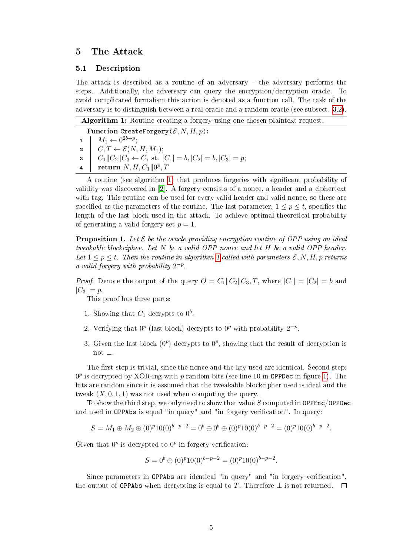### 5 The Attack

#### 5.1 Description

The attack is described as a routine of an adversary  $-$  the adversary performs the steps. Additionally, the adversary can query the encryption/decryption oracle. To avoid complicated formalism this action is denoted as a function call. The task of the adversary is to distinguish between a real oracle and a random oracle (see subsect. [3.2\)](#page-1-1).

<span id="page-4-0"></span>

| Function CreateForgery $(\mathcal{E}, N, H, p)$ : |                                                                                                                                                                                                                                                                              |
|---------------------------------------------------|------------------------------------------------------------------------------------------------------------------------------------------------------------------------------------------------------------------------------------------------------------------------------|
|                                                   |                                                                                                                                                                                                                                                                              |
|                                                   |                                                                                                                                                                                                                                                                              |
|                                                   |                                                                                                                                                                                                                                                                              |
|                                                   | $\begin{array}{c c} \textbf{1} & M_1 \leftarrow 0^{2b+p}; \ \textbf{2} & C, T \leftarrow \mathcal{E}(N,H,M_1); \ \textbf{3} & C_1 \  C_2 \  C_3 \leftarrow C, \text{ st. }  C_1  = b,  C_2  = b,  C_3  = p; \ \textbf{4} & \textbf{return } N, H, C_1 \  0^p, T \end{array}$ |

A routine (see algorithm [1\)](#page-4-0) that produces forgeries with signicant probability of validity was discovered in [\[2\]](#page-7-0). A forgery consists of a nonce, a header and a ciphertext with tag. This routine can be used for every valid header and valid nonce, so these are specified as the parameters of the routine. The last parameter,  $1 \leq p \leq t$ , specifies the length of the last block used in the attack. To achieve optimal theoretical probability of generating a valid forgery set  $p = 1$ .

<span id="page-4-1"></span>**Proposition 1.** Let  $\mathcal{E}$  be the oracle providing encryption routine of OPP using an ideal tweakable blockcipher. Let N be a valid OPP nonce and let H be a valid OPP header. Let  $1 \leq p \leq t$ . Then the routine in algorithm [1](#page-4-0) called with parameters  $\mathcal{E}, N, H, p$  returns a valid forgery with probability  $2^{-p}$ .

*Proof.* Denote the output of the query  $O = C_1||C_2||C_3, T$ , where  $|C_1| = |C_2| = b$  and  $|C_3| = p$ .

This proof has three parts:

- 1. Showing that  $C_1$  decrypts to  $0^b$ .
- 2. Verifying that  $0^p$  (last block) decrypts to  $0^p$  with probability  $2^{-p}$ .
- 3. Given the last block  $(0^p)$  decrypts to  $0^p$ , showing that the result of decryption is not ⊥.

The first step is trivial, since the nonce and the key used are identical. Second step:  $0^p$  is decrypted by XOR-ing with  $p$  random bits (see line 10 in OPPDec in figure [1\)](#page-3-0). The bits are random since it is assumed that the tweakable blockcipher used is ideal and the tweak  $(X, 0, 1, 1)$  was not used when computing the query.

To show the third step, we only need to show that value  $S$  computed in OPPEnc/OPPDec and used in OPPAbs is equal "in query" and "in forgery verification". In query:

$$
S = M_1 \oplus M_2 \oplus (0)^p 10(0)^{b-p-2} = 0^b \oplus 0^b \oplus (0)^p 10(0)^{b-p-2} = (0)^p 10(0)^{b-p-2}.
$$

Given that  $0^p$  is decrypted to  $0^p$  in forgery verification:

$$
S = 0b \oplus (0)p 10(0)b-p-2 = (0)p 10(0)b-p-2.
$$

Since parameters in OPPAbs are identical "in query" and "in forgery verification" the output of OPPAbs when decrypting is equal to T. Therefore  $\perp$  is not returned.  $\square$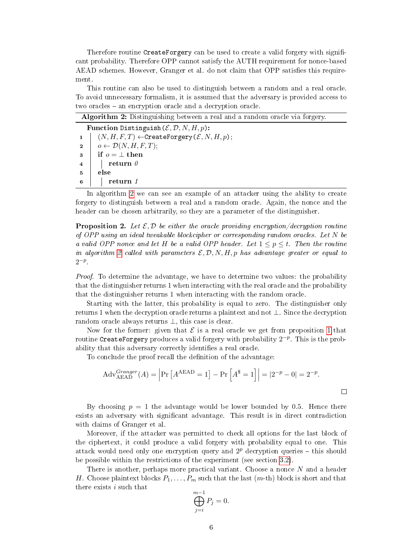Therefore routine CreateForgery can be used to create a valid forgery with significant probability. Therefore OPP cannot satisfy the AUTH requirement for nonce-based AEAD schemes. However, Granger et al. do not claim that OPP satisfies this requirement.

This routine can also be used to distinguish between a random and a real oracle. To avoid unnecessary formalism, it is assumed that the adversary is provided access to two oracles – an encryption oracle and a decryption oracle.

<span id="page-5-0"></span>

| <b>Algorithm 2:</b> Distinguishing between a real and a random oracle via forgery. |                                                                        |  |
|------------------------------------------------------------------------------------|------------------------------------------------------------------------|--|
| Function Distinguish $(\mathcal{E}, \mathcal{D}, N, H, p)$ :                       |                                                                        |  |
|                                                                                    | 1 $(N, H, F, T) \leftarrow$ CreateForgery $(\mathcal{E}, N, H, p)$ ;   |  |
|                                                                                    | $2 \mid o \leftarrow \mathcal{D}(N, H, F, T);$                         |  |
|                                                                                    | $\begin{array}{c c} 3 & \text{if } o = \perp \text{ then} \end{array}$ |  |
|                                                                                    | $4$   return $\theta$                                                  |  |
| $\overline{5}$                                                                     | else                                                                   |  |
| -6                                                                                 | return 1                                                               |  |

In algorithm [2](#page-5-0) we can see an example of an attacker using the ability to create forgery to distinguish between a real and a random oracle. Again, the nonce and the header can be chosen arbitrarily, so they are a parameter of the distinguisher.

**Proposition 2.** Let  $\mathcal{E}, \mathcal{D}$  be either the oracle providing encryption/decryption routine of OPP using an ideal tweakable blockcipher or corresponding random oracles. Let N be a valid OPP nonce and let H be a valid OPP header. Let  $1 \leq p \leq t$ . Then the routine in algorithm [2](#page-5-0) called with parameters  $\mathcal{E}, \mathcal{D}, N, H, p$  has advantage greater or equal to  $2^{-p}$ .

Proof. To determine the advantage, we have to determine two values: the probability that the distinguisher returns 1 when interacting with the real oracle and the probability that the distinguisher returns 1 when interacting with the random oracle.

Starting with the latter, this probability is equal to zero. The distinguisher only returns 1 when the decryption oracle returns a plaintext and not ⊥. Since the decryption random oracle always returns ⊥, this case is clear.

Now for the former: given that  $\mathcal E$  is a real oracle we get from proposition [1](#page-4-1) that routine CreateForgery produces a valid forgery with probability  $2^{-p}$ . This is the probability that this adversary correctly identifies a real oracle.

To conclude the proof recall the definition of the advantage:

$$
Adv_{AEAD}^{Grange}(A) = \left| Pr \left[ A^{AEAD} = 1 \right] - Pr \left[ A^{\$} = 1 \right] \right| = \left| 2^{-p} - 0 \right| = 2^{-p}.
$$

By choosing  $p = 1$  the advantage would be lower bounded by 0.5. Hence there exists an adversary with signicant advantage. This result is in direct contradiction with claims of Granger et al.

Moreover, if the attacker was permitted to check all options for the last block of the ciphertext, it could produce a valid forgery with probability equal to one. This attack would need only one encryption query and  $2^p$  decryption queries – this should be possible within the restrictions of the experiment (see section [3.2\)](#page-1-1).

There is another, perhaps more practical variant. Choose a nonce N and a header H. Choose plaintext blocks  $P_1, \ldots, P_m$  such that the last  $(m$ -th) block is short and that there exists i such that

$$
\bigoplus_{j=i}^{m-1} P_j = 0.
$$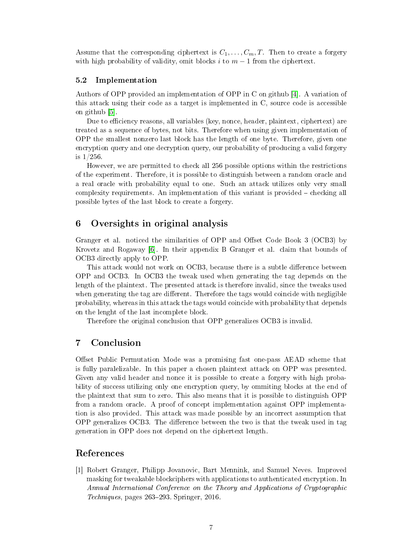Assume that the corresponding ciphertext is  $C_1, \ldots, C_m, T$ . Then to create a forgery with high probability of validity, omit blocks i to  $m-1$  from the ciphertext.

#### 5.2 Implementation

Authors of OPP provided an implementation of OPP in C on github [\[4\]](#page-7-2). A variation of this attack using their code as a target is implemented in C, source code is accessible on github [\[5\]](#page-7-3).

Due to efficiency reasons, all variables (key, nonce, header, plaintext, ciphertext) are treated as a sequence of bytes, not bits. Therefore when using given implementation of OPP the smallest nonzero last block has the length of one byte. Therefore, given one encryption query and one decryption query, our probability of producing a valid forgery is 1/256.

However, we are permitted to check all 256 possible options within the restrictions of the experiment. Therefore, it is possible to distinguish between a random oracle and a real oracle with probability equal to one. Such an attack utilizes only very small complexity requirements. An implementation of this variant is provided  $-$  checking all possible bytes of the last block to create a forgery.

## 6 Oversights in original analysis

Granger et al. noticed the similarities of OPP and Offset Code Book 3 (OCB3) by Krovetz and Rogaway [\[6\]](#page-7-4). In their appendix B Granger et al. claim that bounds of OCB3 directly apply to OPP.

This attack would not work on OCB3, because there is a subtle difference between OPP and OCB3. In OCB3 the tweak used when generating the tag depends on the length of the plaintext. The presented attack is therefore invalid, since the tweaks used when generating the tag are different. Therefore the tags would coincide with negligible probability, whereas in this attack the tags would coincide with probability that depends on the lenght of the last incomplete block.

Therefore the original conclusion that OPP generalizes OCB3 is invalid.

## 7 Conclusion

Offset Public Permutation Mode was a promising fast one-pass AEAD scheme that is fully paralelizable. In this paper a chosen plaintext attack on OPP was presented. Given any valid header and nonce it is possible to create a forgery with high probability of success utilizing only one encryption query, by ommiting blocks at the end of the plaintext that sum to zero. This also means that it is possible to distinguish OPP from a random oracle. A proof of concept implementation against OPP implementation is also provided. This attack was made possible by an incorrect assumption that OPP generalizes OCB3. The difference between the two is that the tweak used in tag generation in OPP does not depend on the ciphertext length.

# References

<span id="page-6-0"></span>[1] Robert Granger, Philipp Jovanovic, Bart Mennink, and Samuel Neves. Improved masking for tweakable blockciphers with applications to authenticated encryption. In Annual International Conference on the Theory and Applications of Cryptographic  $Techniques, pages 263–293. Springer, 2016.$